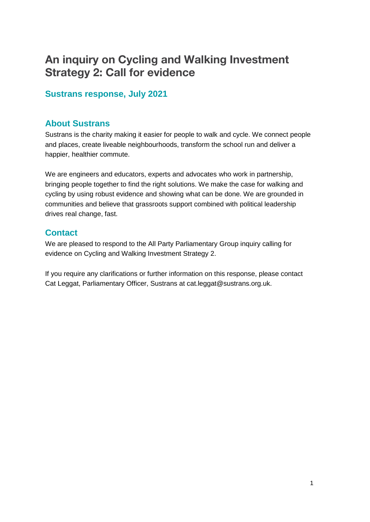# **An inquiry on Cycling and Walking Investment Strategy 2: Call for evidence**

### **Sustrans response, July 2021**

### **About Sustrans**

Sustrans is the charity making it easier for people to walk and cycle. We connect people and places, create liveable neighbourhoods, transform the school run and deliver a happier, healthier commute.

We are engineers and educators, experts and advocates who work in partnership, bringing people together to find the right solutions. We make the case for walking and cycling by using robust evidence and showing what can be done. We are grounded in communities and believe that grassroots support combined with political leadership drives real change, fast.

### **Contact**

We are pleased to respond to the All Party Parliamentary Group inquiry calling for evidence on Cycling and Walking Investment Strategy 2.

If you require any clarifications or further information on this response, please contact Cat Leggat, Parliamentary Officer, Sustrans at cat.leggat@sustrans.org.uk.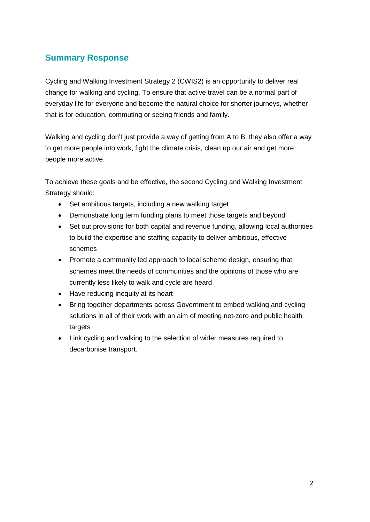## **Summary Response**

Cycling and Walking Investment Strategy 2 (CWIS2) is an opportunity to deliver real change for walking and cycling. To ensure that active travel can be a normal part of everyday life for everyone and become the natural choice for shorter journeys, whether that is for education, commuting or seeing friends and family.

Walking and cycling don't just provide a way of getting from A to B, they also offer a way to get more people into work, fight the climate crisis, clean up our air and get more people more active.

To achieve these goals and be effective, the second Cycling and Walking Investment Strategy should:

- Set ambitious targets, including a new walking target
- Demonstrate long term funding plans to meet those targets and beyond
- Set out provisions for both capital and revenue funding, allowing local authorities to build the expertise and staffing capacity to deliver ambitious, effective schemes
- Promote a community led approach to local scheme design, ensuring that schemes meet the needs of communities and the opinions of those who are currently less likely to walk and cycle are heard
- Have reducing inequity at its heart
- Bring together departments across Government to embed walking and cycling solutions in all of their work with an aim of meeting net-zero and public health targets
- Link cycling and walking to the selection of wider measures required to decarbonise transport.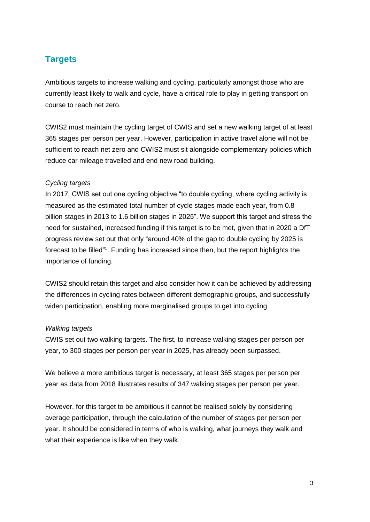## **Targets**

Ambitious targets to increase walking and cycling, particularly amongst those who are currently least likely to walk and cycle, have a critical role to play in getting transport on course to reach net zero.

CWIS2 must maintain the cycling target of CWIS and set a new walking target of at least 365 stages per person per year. However, participation in active travel alone will not be sufficient to reach net zero and CWIS2 must sit alongside complementary policies which reduce car mileage travelled and end new road building.

#### *Cycling targets*

In 2017, CWIS set out one cycling objective "to double cycling, where cycling activity is measured as the estimated total number of cycle stages made each year, from 0.8 billion stages in 2013 to 1.6 billion stages in 2025". We support this target and stress the need for sustained, increased funding if this target is to be met, given that in 2020 a DfT progress review set out that only "around 40% of the gap to double cycling by 2025 is forecast to be filled"<sup>1</sup>. Funding has increased since then, but the report highlights the importance of funding.

CWIS2 should retain this target and also consider how it can be achieved by addressing the differences in cycling rates between different demographic groups, and successfully widen participation, enabling more marginalised groups to get into cycling.

#### *Walking targets*

CWIS set out two walking targets. The first, to increase walking stages per person per year, to 300 stages per person per year in 2025, has already been surpassed.

We believe a more ambitious target is necessary, at least 365 stages per person per year as data from 2018 illustrates results of 347 walking stages per person per year.

However, for this target to be ambitious it cannot be realised solely by considering average participation, through the calculation of the number of stages per person per year. It should be considered in terms of who is walking, what journeys they walk and what their experience is like when they walk.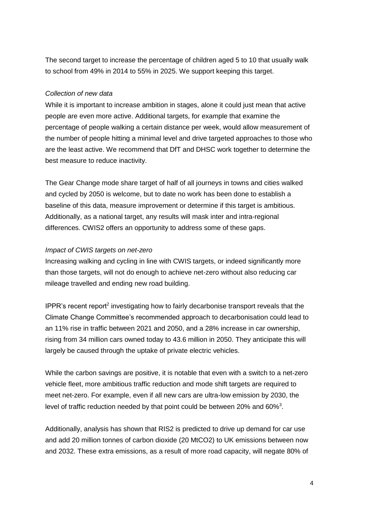The second target to increase the percentage of children aged 5 to 10 that usually walk to school from 49% in 2014 to 55% in 2025. We support keeping this target.

#### *Collection of new data*

While it is important to increase ambition in stages, alone it could just mean that active people are even more active. Additional targets, for example that examine the percentage of people walking a certain distance per week, would allow measurement of the number of people hitting a minimal level and drive targeted approaches to those who are the least active. We recommend that DfT and DHSC work together to determine the best measure to reduce inactivity.

The Gear Change mode share target of half of all journeys in towns and cities walked and cycled by 2050 is welcome, but to date no work has been done to establish a baseline of this data, measure improvement or determine if this target is ambitious. Additionally, as a national target, any results will mask inter and intra-regional differences. CWIS2 offers an opportunity to address some of these gaps.

#### *Impact of CWIS targets on net-zero*

Increasing walking and cycling in line with CWIS targets, or indeed significantly more than those targets, will not do enough to achieve net-zero without also reducing car mileage travelled and ending new road building.

IPPR's recent report<sup>2</sup> investigating how to fairly decarbonise transport reveals that the Climate Change Committee's recommended approach to decarbonisation could lead to an 11% rise in traffic between 2021 and 2050, and a 28% increase in car ownership, rising from 34 million cars owned today to 43.6 million in 2050. They anticipate this will largely be caused through the uptake of private electric vehicles.

While the carbon savings are positive, it is notable that even with a switch to a net-zero vehicle fleet, more ambitious traffic reduction and mode shift targets are required to meet net-zero. For example, even if all new cars are ultra-low emission by 2030, the level of traffic reduction needed by that point could be between 20% and 60%<sup>3</sup>.

Additionally, analysis has shown that RIS2 is predicted to drive up demand for car use and add 20 million tonnes of carbon dioxide (20 MtCO2) to UK emissions between now and 2032. These extra emissions, as a result of more road capacity, will negate 80% of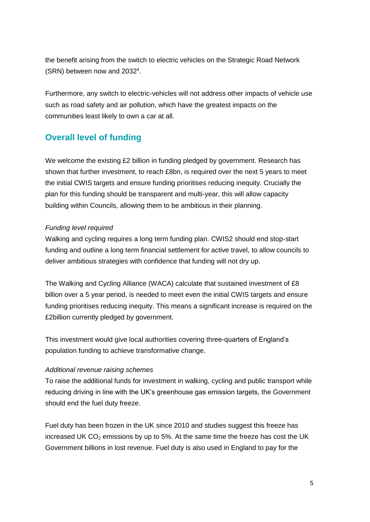the benefit arising from the switch to electric vehicles on the Strategic Road Network (SRN) between now and 2032<sup>4</sup>.

Furthermore, any switch to electric-vehicles will not address other impacts of vehicle use such as road safety and air pollution, which have the greatest impacts on the communities least likely to own a car at all.

## **Overall level of funding**

We welcome the existing £2 billion in funding pledged by government. Research has shown that further investment, to reach £8bn, is required over the next 5 years to meet the initial CWIS targets and ensure funding prioritises reducing inequity. Crucially the plan for this funding should be transparent and multi-year, this will allow capacity building within Councils, allowing them to be ambitious in their planning.

#### *Funding level required*

Walking and cycling requires a long term funding plan. CWIS2 should end stop-start funding and outline a long term financial settlement for active travel, to allow councils to deliver ambitious strategies with confidence that funding will not dry up.

The Walking and Cycling Alliance (WACA) calculate that sustained investment of £8 billion over a 5 year period, is needed to meet even the initial CWIS targets and ensure funding prioritises reducing inequity. This means a significant increase is required on the £2billion currently pledged by government.

This investment would give local authorities covering three-quarters of England's population funding to achieve transformative change.

#### *Additional revenue raising schemes*

To raise the additional funds for investment in walking, cycling and public transport while reducing driving in line with the UK's greenhouse gas emission targets, the Government should end the fuel duty freeze.

Fuel duty has been frozen in the UK since 2010 and studies suggest this freeze has increased UK  $CO<sub>2</sub>$  emissions by up to 5%. At the same time the freeze has cost the UK Government billions in lost revenue. Fuel duty is also used in England to pay for the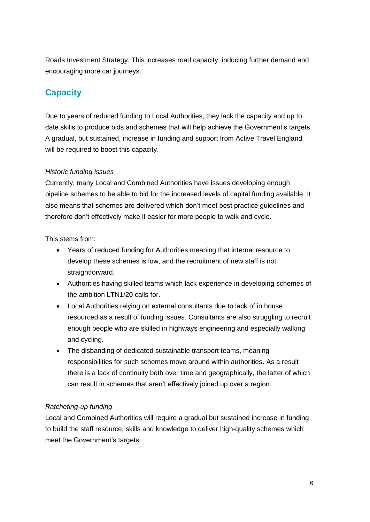Roads Investment Strategy. This increases road capacity, inducing further demand and encouraging more car journeys.

## **Capacity**

Due to years of reduced funding to Local Authorities, they lack the capacity and up to date skills to produce bids and schemes that will help achieve the Government's targets. A gradual, but sustained, increase in funding and support from Active Travel England will be required to boost this capacity.

#### *Historic funding issues*

Currently, many Local and Combined Authorities have issues developing enough pipeline schemes to be able to bid for the increased levels of capital funding available. It also means that schemes are delivered which don't meet best practice guidelines and therefore don't effectively make it easier for more people to walk and cycle.

This stems from:

- Years of reduced funding for Authorities meaning that internal resource to develop these schemes is low, and the recruitment of new staff is not straightforward.
- Authorities having skilled teams which lack experience in developing schemes of the ambition LTN1/20 calls for.
- Local Authorities relying on external consultants due to lack of in house resourced as a result of funding issues. Consultants are also struggling to recruit enough people who are skilled in highways engineering and especially walking and cycling.
- The disbanding of dedicated sustainable transport teams, meaning responsibilities for such schemes move around within authorities. As a result there is a lack of continuity both over time and geographically, the latter of which can result in schemes that aren't effectively joined up over a region.

### *Ratcheting-up funding*

Local and Combined Authorities will require a gradual but sustained increase in funding to build the staff resource, skills and knowledge to deliver high-quality schemes which meet the Government's targets.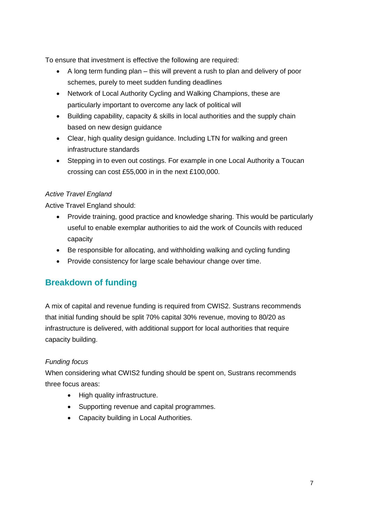To ensure that investment is effective the following are required:

- A long term funding plan this will prevent a rush to plan and delivery of poor schemes, purely to meet sudden funding deadlines
- Network of Local Authority Cycling and Walking Champions, these are particularly important to overcome any lack of political will
- Building capability, capacity & skills in local authorities and the supply chain based on new design guidance
- Clear, high quality design guidance. Including LTN for walking and green infrastructure standards
- Stepping in to even out costings. For example in one Local Authority a Toucan crossing can cost £55,000 in in the next £100,000.

### *Active Travel England*

Active Travel England should:

- Provide training, good practice and knowledge sharing. This would be particularly useful to enable exemplar authorities to aid the work of Councils with reduced capacity
- Be responsible for allocating, and withholding walking and cycling funding
- Provide consistency for large scale behaviour change over time.

## **Breakdown of funding**

A mix of capital and revenue funding is required from CWIS2. Sustrans recommends that initial funding should be split 70% capital 30% revenue, moving to 80/20 as infrastructure is delivered, with additional support for local authorities that require capacity building.

### *Funding focus*

When considering what CWIS2 funding should be spent on, Sustrans recommends three focus areas:

- High quality infrastructure.
- Supporting revenue and capital programmes.
- Capacity building in Local Authorities.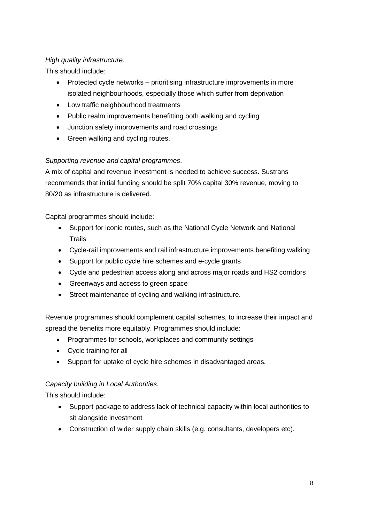#### *High quality infrastructure*.

This should include:

- Protected cycle networks prioritising infrastructure improvements in more isolated neighbourhoods, especially those which suffer from deprivation
- Low traffic neighbourhood treatments
- Public realm improvements benefitting both walking and cycling
- Junction safety improvements and road crossings
- Green walking and cycling routes.

#### *Supporting revenue and capital programmes*.

A mix of capital and revenue investment is needed to achieve success. Sustrans recommends that initial funding should be split 70% capital 30% revenue, moving to 80/20 as infrastructure is delivered.

Capital programmes should include:

- Support for iconic routes, such as the National Cycle Network and National **Trails**
- Cycle-rail improvements and rail infrastructure improvements benefiting walking
- Support for public cycle hire schemes and e-cycle grants
- Cycle and pedestrian access along and across major roads and HS2 corridors
- Greenways and access to green space
- Street maintenance of cycling and walking infrastructure.

Revenue programmes should complement capital schemes, to increase their impact and spread the benefits more equitably. Programmes should include:

- Programmes for schools, workplaces and community settings
- Cycle training for all
- Support for uptake of cycle hire schemes in disadvantaged areas.

#### *Capacity building in Local Authorities.*

This should include:

- Support package to address lack of technical capacity within local authorities to sit alongside investment
- Construction of wider supply chain skills (e.g. consultants, developers etc).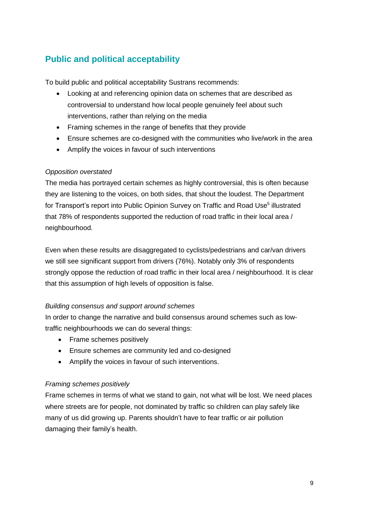## **Public and political acceptability**

To build public and political acceptability Sustrans recommends:

- Looking at and referencing opinion data on schemes that are described as controversial to understand how local people genuinely feel about such interventions, rather than relying on the media
- Framing schemes in the range of benefits that they provide
- Ensure schemes are co-designed with the communities who live/work in the area
- Amplify the voices in favour of such interventions

#### *Opposition overstated*

The media has portrayed certain schemes as highly controversial, this is often because they are listening to the voices, on both sides, that shout the loudest. The Department for Transport's report into Public Opinion Survey on Traffic and Road Use<sup>5</sup> illustrated that 78% of respondents supported the reduction of road traffic in their local area / neighbourhood.

Even when these results are disaggregated to cyclists/pedestrians and car/van drivers we still see significant support from drivers (76%). Notably only 3% of respondents strongly oppose the reduction of road traffic in their local area / neighbourhood. It is clear that this assumption of high levels of opposition is false.

#### *Building consensus and support around schemes*

In order to change the narrative and build consensus around schemes such as lowtraffic neighbourhoods we can do several things:

- Frame schemes positively
- Ensure schemes are community led and co-designed
- Amplify the voices in favour of such interventions.

#### *Framing schemes positively*

Frame schemes in terms of what we stand to gain, not what will be lost. We need places where streets are for people, not dominated by traffic so children can play safely like many of us did growing up. Parents shouldn't have to fear traffic or air pollution damaging their family's health.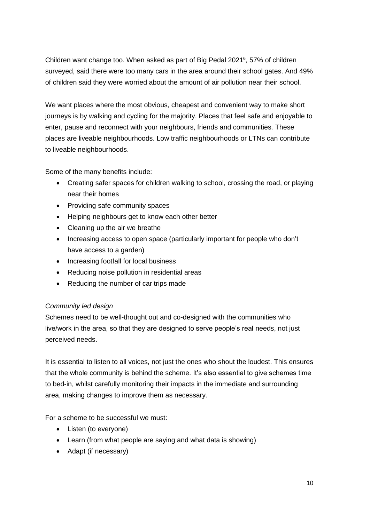Children want change too. When asked as part of Big Pedal 2021<sup>6</sup>, 57% of children surveyed, said there were too many cars in the area around their school gates. And 49% of children said they were worried about the amount of air pollution near their school.

We want places where the most obvious, cheapest and convenient way to make short journeys is by walking and cycling for the majority. Places that feel safe and enjoyable to enter, pause and reconnect with your neighbours, friends and communities. These places are liveable neighbourhoods. Low traffic neighbourhoods or LTNs can contribute to liveable neighbourhoods.

Some of the many benefits include:

- Creating safer spaces for children walking to school, crossing the road, or playing near their homes
- Providing safe community spaces
- Helping neighbours get to know each other better
- Cleaning up the air we breathe
- Increasing access to open space (particularly important for people who don't have access to a garden)
- Increasing footfall for local business
- Reducing noise pollution in residential areas
- Reducing the number of car trips made

#### *Community led design*

Schemes need to be well-thought out and co-designed with the communities who live/work in the area, so that they are designed to serve people's real needs, not just perceived needs.

It is essential to listen to all voices, not just the ones who shout the loudest. This ensures that the whole community is behind the scheme. It's also essential to give schemes time to bed-in, whilst carefully monitoring their impacts in the immediate and surrounding area, making changes to improve them as necessary.

For a scheme to be successful we must:

- Listen (to everyone)
- Learn (from what people are saying and what data is showing)
- Adapt (if necessary)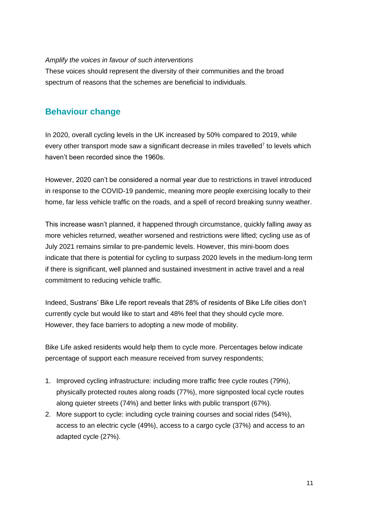#### *Amplify the voices in favour of such interventions*

These voices should represent the diversity of their communities and the broad spectrum of reasons that the schemes are beneficial to individuals.

## **Behaviour change**

In 2020, overall cycling levels in the UK increased by 50% compared to 2019, while every other transport mode saw a significant decrease in miles travelled<sup>7</sup> to levels which haven't been recorded since the 1960s.

However, 2020 can't be considered a normal year due to restrictions in travel introduced in response to the COVID-19 pandemic, meaning more people exercising locally to their home, far less vehicle traffic on the roads, and a spell of record breaking sunny weather.

This increase wasn't planned, it happened through circumstance, quickly falling away as more vehicles returned, weather worsened and restrictions were lifted; cycling use as of July 2021 remains similar to pre-pandemic levels. However, this mini-boom does indicate that there is potential for cycling to surpass 2020 levels in the medium-long term if there is significant, well planned and sustained investment in active travel and a real commitment to reducing vehicle traffic.

Indeed, Sustrans' Bike Life report reveals that 28% of residents of Bike Life cities don't currently cycle but would like to start and 48% feel that they should cycle more. However, they face barriers to adopting a new mode of mobility.

Bike Life asked residents would help them to cycle more. Percentages below indicate percentage of support each measure received from survey respondents;

- 1. Improved cycling infrastructure: including more traffic free cycle routes (79%), physically protected routes along roads (77%), more signposted local cycle routes along quieter streets (74%) and better links with public transport (67%).
- 2. More support to cycle: including cycle training courses and social rides (54%), access to an electric cycle (49%), access to a cargo cycle (37%) and access to an adapted cycle (27%).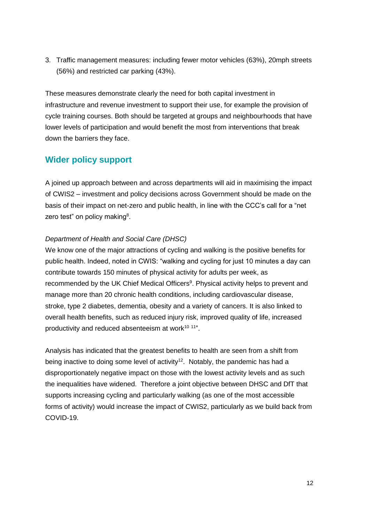3. Traffic management measures: including fewer motor vehicles (63%), 20mph streets (56%) and restricted car parking (43%).

These measures demonstrate clearly the need for both capital investment in infrastructure and revenue investment to support their use, for example the provision of cycle training courses. Both should be targeted at groups and neighbourhoods that have lower levels of participation and would benefit the most from interventions that break down the barriers they face.

### **Wider policy support**

A joined up approach between and across departments will aid in maximising the impact of CWIS2 – investment and policy decisions across Government should be made on the basis of their impact on net-zero and public health, in line with the CCC's call for a "net zero test" on policy making<sup>8</sup>.

#### *Department of Health and Social Care (DHSC)*

We know one of the major attractions of cycling and walking is the positive benefits for public health. Indeed, noted in CWIS: "walking and cycling for just 10 minutes a day can contribute towards 150 minutes of physical activity for adults per week, as recommended by the UK Chief Medical Officers<sup>9</sup>. Physical activity helps to prevent and manage more than 20 chronic health conditions, including cardiovascular disease, stroke, type 2 diabetes, dementia, obesity and a variety of cancers. It is also linked to overall health benefits, such as reduced injury risk, improved quality of life, increased productivity and reduced absenteeism at work<sup>10 11"</sup>.

Analysis has indicated that the greatest benefits to health are seen from a shift from being inactive to doing some level of activity<sup>12</sup>. Notably, the pandemic has had a disproportionately negative impact on those with the lowest activity levels and as such the inequalities have widened. Therefore a joint objective between DHSC and DfT that supports increasing cycling and particularly walking (as one of the most accessible forms of activity) would increase the impact of CWIS2, particularly as we build back from COVID-19.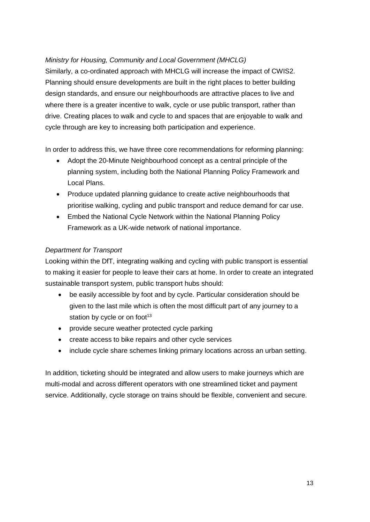#### *Ministry for Housing, Community and Local Government (MHCLG)*

Similarly, a co-ordinated approach with MHCLG will increase the impact of CWIS2. Planning should ensure developments are built in the right places to better building design standards, and ensure our neighbourhoods are attractive places to live and where there is a greater incentive to walk, cycle or use public transport, rather than drive. Creating places to walk and cycle to and spaces that are enjoyable to walk and cycle through are key to increasing both participation and experience.

In order to address this, we have three core recommendations for reforming planning:

- Adopt the 20-Minute Neighbourhood concept as a central principle of the planning system, including both the National Planning Policy Framework and Local Plans.
- Produce updated planning quidance to create active neighbourhoods that prioritise walking, cycling and public transport and reduce demand for car use.
- Embed the National Cycle Network within the National Planning Policy Framework as a UK-wide network of national importance.

#### *Department for Transport*

Looking within the DfT, integrating walking and cycling with public transport is essential to making it easier for people to leave their cars at home. In order to create an integrated sustainable transport system, public transport hubs should:

- be easily accessible by foot and by cycle. Particular consideration should be given to the last mile which is often the most difficult part of any journey to a station by cycle or on foot $13$
- provide secure weather protected cycle parking
- create access to bike repairs and other cycle services
- include cycle share schemes linking primary locations across an urban setting.

In addition, ticketing should be integrated and allow users to make journeys which are multi-modal and across different operators with one streamlined ticket and payment service. Additionally, cycle storage on trains should be flexible, convenient and secure.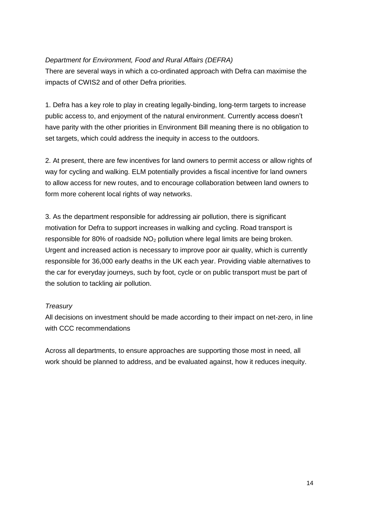#### *Department for Environment, Food and Rural Affairs (DEFRA)*

There are several ways in which a co-ordinated approach with Defra can maximise the impacts of CWIS2 and of other Defra priorities.

1. Defra has a key role to play in creating legally-binding, long-term targets to increase public access to, and enjoyment of the natural environment. Currently access doesn't have parity with the other priorities in Environment Bill meaning there is no obligation to set targets, which could address the inequity in access to the outdoors.

2. At present, there are few incentives for land owners to permit access or allow rights of way for cycling and walking. ELM potentially provides a fiscal incentive for land owners to allow access for new routes, and to encourage collaboration between land owners to form more coherent local rights of way networks.

3. As the department responsible for addressing air pollution, there is significant motivation for Defra to support increases in walking and cycling. Road transport is responsible for 80% of roadside  $NO<sub>2</sub>$  pollution where legal limits are being broken. Urgent and increased action is necessary to improve poor air quality, which is currently responsible for 36,000 early deaths in the UK each year. Providing viable alternatives to the car for everyday journeys, such by foot, cycle or on public transport must be part of the solution to tackling air pollution.

#### *Treasury*

All decisions on investment should be made according to their impact on net-zero, in line with CCC recommendations

Across all departments, to ensure approaches are supporting those most in need, all work should be planned to address, and be evaluated against, how it reduces inequity.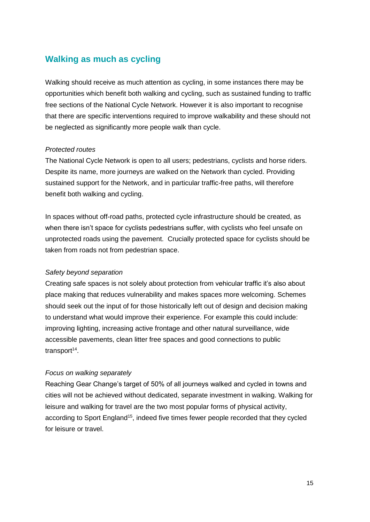### **Walking as much as cycling**

Walking should receive as much attention as cycling, in some instances there may be opportunities which benefit both walking and cycling, such as sustained funding to traffic free sections of the National Cycle Network. However it is also important to recognise that there are specific interventions required to improve walkability and these should not be neglected as significantly more people walk than cycle.

#### *Protected routes*

The National Cycle Network is open to all users; pedestrians, cyclists and horse riders. Despite its name, more journeys are walked on the Network than cycled. Providing sustained support for the Network, and in particular traffic-free paths, will therefore benefit both walking and cycling.

In spaces without off-road paths, protected cycle infrastructure should be created, as when there isn't space for cyclists pedestrians suffer, with cyclists who feel unsafe on unprotected roads using the pavement. Crucially protected space for cyclists should be taken from roads not from pedestrian space.

#### *Safety beyond separation*

Creating safe spaces is not solely about protection from vehicular traffic it's also about place making that reduces vulnerability and makes spaces more welcoming. Schemes should seek out the input of for those historically left out of design and decision making to understand what would improve their experience. For example this could include: improving lighting, increasing active frontage and other natural surveillance, wide accessible pavements, clean litter free spaces and good connections to public transport<sup>14</sup>.

#### *Focus on walking separately*

Reaching Gear Change's target of 50% of all journeys walked and cycled in towns and cities will not be achieved without dedicated, separate investment in walking. Walking for leisure and walking for travel are the two most popular forms of physical activity, according to Sport England<sup>15</sup>, indeed five times fewer people recorded that they cycled for leisure or travel.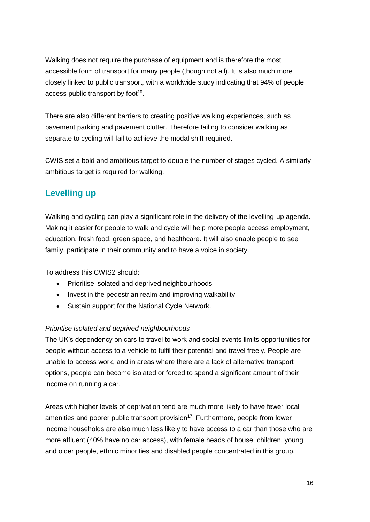Walking does not require the purchase of equipment and is therefore the most accessible form of transport for many people (though not all). It is also much more closely linked to public transport, with a worldwide study indicating that 94% of people access public transport by foot<sup>16</sup>.

There are also different barriers to creating positive walking experiences, such as pavement parking and pavement clutter. Therefore failing to consider walking as separate to cycling will fail to achieve the modal shift required.

CWIS set a bold and ambitious target to double the number of stages cycled. A similarly ambitious target is required for walking.

## **Levelling up**

Walking and cycling can play a significant role in the delivery of the levelling-up agenda. Making it easier for people to walk and cycle will help more people access employment, education, fresh food, green space, and healthcare. It will also enable people to see family, participate in their community and to have a voice in society.

To address this CWIS2 should:

- Prioritise isolated and deprived neighbourhoods
- Invest in the pedestrian realm and improving walkability
- Sustain support for the National Cycle Network.

#### *Prioritise isolated and deprived neighbourhoods*

The UK's dependency on cars to travel to work and social events limits opportunities for people without access to a vehicle to fulfil their potential and travel freely. People are unable to access work, and in areas where there are a lack of alternative transport options, people can become isolated or forced to spend a significant amount of their income on running a car.

Areas with higher levels of deprivation tend are much more likely to have fewer local amenities and poorer public transport provision<sup>17</sup>. Furthermore, people from lower income households are also much less likely to have access to a car than those who are more affluent (40% have no car access), with female heads of house, children, young and older people, ethnic minorities and disabled people concentrated in this group.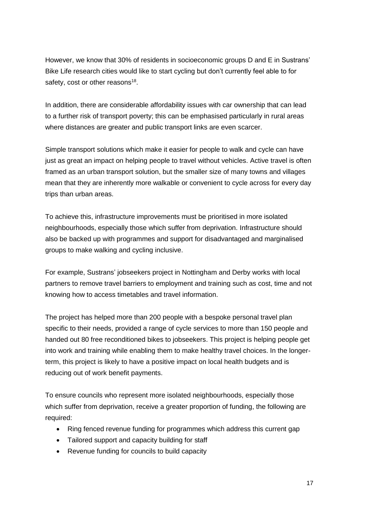However, we know that 30% of residents in socioeconomic groups D and E in Sustrans' Bike Life research cities would like to start cycling but don't currently feel able to for safety, cost or other reasons<sup>18</sup>.

In addition, there are considerable affordability issues with car ownership that can lead to a further risk of transport poverty; this can be emphasised particularly in rural areas where distances are greater and public transport links are even scarcer.

Simple transport solutions which make it easier for people to walk and cycle can have just as great an impact on helping people to travel without vehicles. Active travel is often framed as an urban transport solution, but the smaller size of many towns and villages mean that they are inherently more walkable or convenient to cycle across for every day trips than urban areas.

To achieve this, infrastructure improvements must be prioritised in more isolated neighbourhoods, especially those which suffer from deprivation. Infrastructure should also be backed up with programmes and support for disadvantaged and marginalised groups to make walking and cycling inclusive.

For example, Sustrans' jobseekers project in Nottingham and Derby works with local partners to remove travel barriers to employment and training such as cost, time and not knowing how to access timetables and travel information.

The project has helped more than 200 people with a bespoke personal travel plan specific to their needs, provided a range of cycle services to more than 150 people and handed out 80 free reconditioned bikes to jobseekers. This project is helping people get into work and training while enabling them to make healthy travel choices. In the longerterm, this project is likely to have a positive impact on local health budgets and is reducing out of work benefit payments.

To ensure councils who represent more isolated neighbourhoods, especially those which suffer from deprivation, receive a greater proportion of funding, the following are required:

- Ring fenced revenue funding for programmes which address this current gap
- Tailored support and capacity building for staff
- Revenue funding for councils to build capacity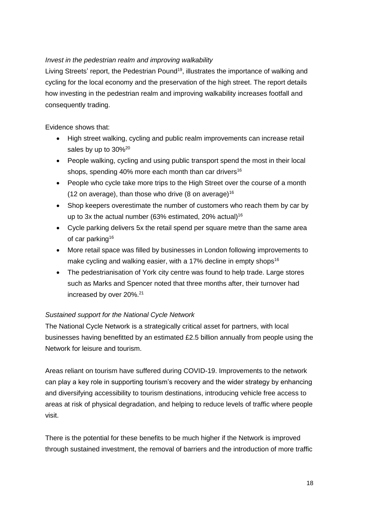#### *Invest in the pedestrian realm and improving walkability*

Living Streets' report, the Pedestrian Pound<sup>19</sup>, illustrates the importance of walking and cycling for the local economy and the preservation of the high street. The report details how investing in the pedestrian realm and improving walkability increases footfall and consequently trading.

Evidence shows that:

- High street walking, cycling and public realm improvements can increase retail sales by up to 30%<sup>20</sup>
- People walking, cycling and using public transport spend the most in their local shops, spending 40% more each month than car drivers<sup>16</sup>
- People who cycle take more trips to the High Street over the course of a month (12 on average), than those who drive (8 on average)<sup>16</sup>
- Shop keepers overestimate the number of customers who reach them by car by up to 3x the actual number (63% estimated, 20% actual)<sup>16</sup>
- Cycle parking delivers 5x the retail spend per square metre than the same area of car parking<sup>16</sup>
- More retail space was filled by businesses in London following improvements to make cycling and walking easier, with a 17% decline in empty shops<sup>16</sup>
- The pedestrianisation of York city centre was found to help trade. Large stores such as Marks and Spencer noted that three months after, their turnover had increased by over 20%.<sup>21</sup>

### *Sustained support for the National Cycle Network*

The National Cycle Network is a strategically critical asset for partners, with local businesses having benefitted by an estimated £2.5 billion annually from people using the Network for leisure and tourism.

Areas reliant on tourism have suffered during COVID-19. Improvements to the network can play a key role in supporting tourism's recovery and the wider strategy by enhancing and diversifying accessibility to tourism destinations, introducing vehicle free access to areas at risk of physical degradation, and helping to reduce levels of traffic where people visit.

There is the potential for these benefits to be much higher if the Network is improved through sustained investment, the removal of barriers and the introduction of more traffic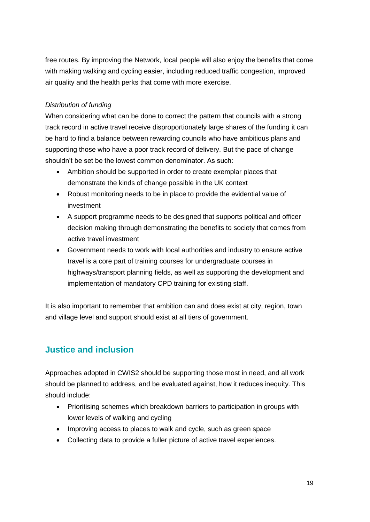free routes. By improving the Network, local people will also enjoy the benefits that come with making walking and cycling easier, including reduced traffic congestion, improved air quality and the health perks that come with more exercise.

#### *Distribution of funding*

When considering what can be done to correct the pattern that councils with a strong track record in active travel receive disproportionately large shares of the funding it can be hard to find a balance between rewarding councils who have ambitious plans and supporting those who have a poor track record of delivery. But the pace of change shouldn't be set be the lowest common denominator. As such:

- Ambition should be supported in order to create exemplar places that demonstrate the kinds of change possible in the UK context
- Robust monitoring needs to be in place to provide the evidential value of investment
- A support programme needs to be designed that supports political and officer decision making through demonstrating the benefits to society that comes from active travel investment
- Government needs to work with local authorities and industry to ensure active travel is a core part of training courses for undergraduate courses in highways/transport planning fields, as well as supporting the development and implementation of mandatory CPD training for existing staff.

It is also important to remember that ambition can and does exist at city, region, town and village level and support should exist at all tiers of government.

## **Justice and inclusion**

Approaches adopted in CWIS2 should be supporting those most in need, and all work should be planned to address, and be evaluated against, how it reduces inequity. This should include:

- Prioritising schemes which breakdown barriers to participation in groups with lower levels of walking and cycling
- Improving access to places to walk and cycle, such as green space
- Collecting data to provide a fuller picture of active travel experiences.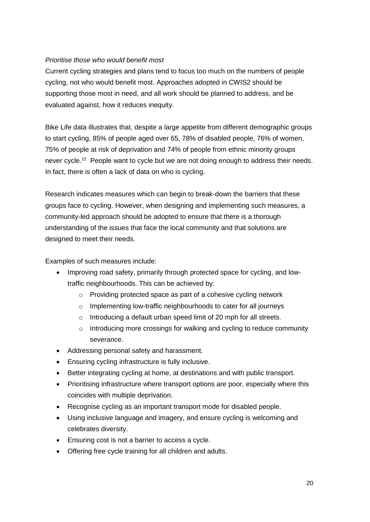#### *Prioritise those who would benefit most*

Current cycling strategies and plans tend to focus too much on the numbers of people cycling, not who would benefit most. Approaches adopted in CWIS2 should be supporting those most in need, and all work should be planned to address, and be evaluated against, how it reduces inequity.

Bike Life data illustrates that, despite a large appetite from different demographic groups to start cycling, 85% of people aged over 65, 78% of disabled people, 76% of women, 75% of people at risk of deprivation and 74% of people from ethnic minority groups never cycle.<sup>22</sup> People want to cycle but we are not doing enough to address their needs. In fact, there is often a lack of data on who is cycling.

Research indicates measures which can begin to break-down the barriers that these groups face to cycling. However, when designing and implementing such measures, a community-led approach should be adopted to ensure that there is a thorough understanding of the issues that face the local community and that solutions are designed to meet their needs.

Examples of such measures include:

- Improving road safety, primarily through protected space for cycling, and lowtraffic neighbourhoods. This can be achieved by:
	- o Providing protected space as part of a cohesive cycling network
	- o Implementing low-traffic neighbourhoods to cater for all journeys
	- o Introducing a default urban speed limit of 20 mph for all streets.
	- o Introducing more crossings for walking and cycling to reduce community severance.
- Addressing personal safety and harassment.
- Ensuring cycling infrastructure is fully inclusive.
- Better integrating cycling at home, at destinations and with public transport.
- Prioritising infrastructure where transport options are poor, especially where this coincides with multiple deprivation.
- Recognise cycling as an important transport mode for disabled people.
- Using inclusive language and imagery, and ensure cycling is welcoming and celebrates diversity.
- **Ensuring cost is not a barrier to access a cycle.**
- Offering free cycle training for all children and adults.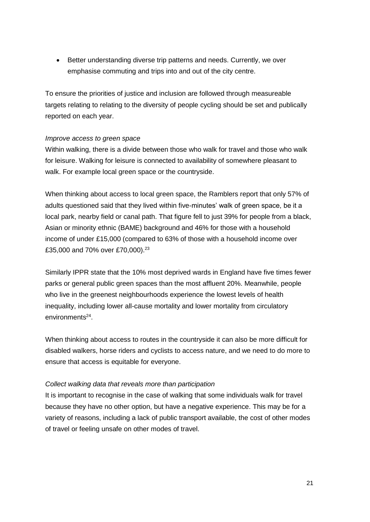Better understanding diverse trip patterns and needs. Currently, we over emphasise commuting and trips into and out of the city centre.

To ensure the priorities of justice and inclusion are followed through measureable targets relating to relating to the diversity of people cycling should be set and publically reported on each year.

#### *Improve access to green space*

Within walking, there is a divide between those who walk for travel and those who walk for leisure. Walking for leisure is connected to availability of somewhere pleasant to walk. For example local green space or the countryside.

When thinking about access to local green space, the Ramblers report that only 57% of adults questioned said that they lived within five-minutes' walk of green space, be it a local park, nearby field or canal path. That figure fell to just 39% for people from a black, Asian or minority ethnic (BAME) background and 46% for those with a household income of under £15,000 (compared to 63% of those with a household income over £35,000 and 70% over £70,000).<sup>23</sup>

Similarly IPPR state that the 10% most deprived wards in England have five times fewer parks or general public green spaces than the most affluent 20%. Meanwhile, people who live in the greenest neighbourhoods experience the lowest levels of health inequality, including lower all-cause mortality and lower mortality from circulatory environments<sup>24</sup>.

When thinking about access to routes in the countryside it can also be more difficult for disabled walkers, horse riders and cyclists to access nature, and we need to do more to ensure that access is equitable for everyone.

#### *Collect walking data that reveals more than participation*

It is important to recognise in the case of walking that some individuals walk for travel because they have no other option, but have a negative experience. This may be for a variety of reasons, including a lack of public transport available, the cost of other modes of travel or feeling unsafe on other modes of travel.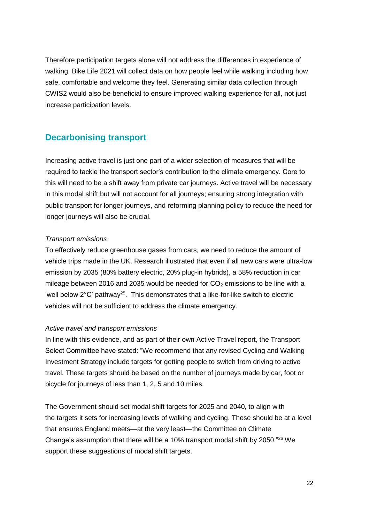Therefore participation targets alone will not address the differences in experience of walking. Bike Life 2021 will collect data on how people feel while walking including how safe, comfortable and welcome they feel. Generating similar data collection through CWIS2 would also be beneficial to ensure improved walking experience for all, not just increase participation levels.

## **Decarbonising transport**

Increasing active travel is just one part of a wider selection of measures that will be required to tackle the transport sector's contribution to the climate emergency. Core to this will need to be a shift away from private car journeys. Active travel will be necessary in this modal shift but will not account for all journeys; ensuring strong integration with public transport for longer journeys, and reforming planning policy to reduce the need for longer journeys will also be crucial.

#### *Transport emissions*

To effectively reduce greenhouse gases from cars, we need to reduce the amount of vehicle trips made in the UK. Research illustrated that even if all new cars were ultra-low emission by 2035 (80% battery electric, 20% plug-in hybrids), a 58% reduction in car mileage between 2016 and 2035 would be needed for  $CO<sub>2</sub>$  emissions to be line with a 'well below  $2^{\circ}$ C' pathway<sup>25</sup>. This demonstrates that a like-for-like switch to electric vehicles will not be sufficient to address the climate emergency.

#### *Active travel and transport emissions*

In line with this evidence, and as part of their own Active Travel report, the Transport Select Committee have stated: "We recommend that any revised Cycling and Walking Investment Strategy include targets for getting people to switch from driving to active travel. These targets should be based on the number of journeys made by car, foot or bicycle for journeys of less than 1, 2, 5 and 10 miles.

The Government should set modal shift targets for 2025 and 2040, to align with the targets it sets for increasing levels of walking and cycling. These should be at a level that ensures England meets—at the very least—the Committee on Climate Change's assumption that there will be a 10% transport modal shift by 2050."<sup>26</sup> We support these suggestions of modal shift targets.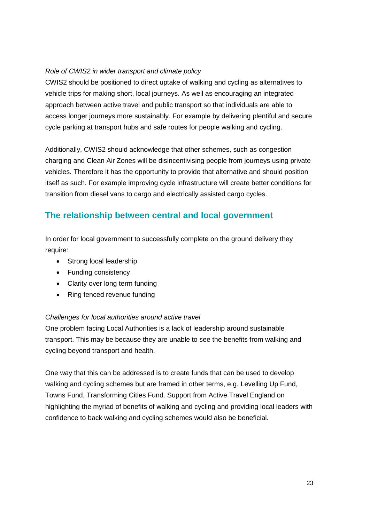#### *Role of CWIS2 in wider transport and climate policy*

CWIS2 should be positioned to direct uptake of walking and cycling as alternatives to vehicle trips for making short, local journeys. As well as encouraging an integrated approach between active travel and public transport so that individuals are able to access longer journeys more sustainably. For example by delivering plentiful and secure cycle parking at transport hubs and safe routes for people walking and cycling.

Additionally, CWIS2 should acknowledge that other schemes, such as congestion charging and Clean Air Zones will be disincentivising people from journeys using private vehicles. Therefore it has the opportunity to provide that alternative and should position itself as such. For example improving cycle infrastructure will create better conditions for transition from diesel vans to cargo and electrically assisted cargo cycles.

## **The relationship between central and local government**

In order for local government to successfully complete on the ground delivery they require:

- Strong local leadership
- Funding consistency
- Clarity over long term funding
- Ring fenced revenue funding

#### *Challenges for local authorities around active travel*

One problem facing Local Authorities is a lack of leadership around sustainable transport. This may be because they are unable to see the benefits from walking and cycling beyond transport and health.

One way that this can be addressed is to create funds that can be used to develop walking and cycling schemes but are framed in other terms, e.g. Levelling Up Fund, Towns Fund, Transforming Cities Fund. Support from Active Travel England on highlighting the myriad of benefits of walking and cycling and providing local leaders with confidence to back walking and cycling schemes would also be beneficial.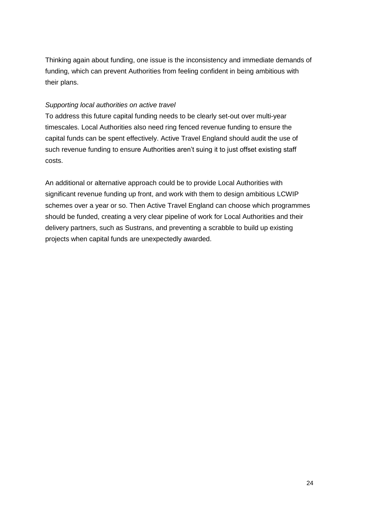Thinking again about funding, one issue is the inconsistency and immediate demands of funding, which can prevent Authorities from feeling confident in being ambitious with their plans.

#### *Supporting local authorities on active travel*

To address this future capital funding needs to be clearly set-out over multi-year timescales. Local Authorities also need ring fenced revenue funding to ensure the capital funds can be spent effectively. Active Travel England should audit the use of such revenue funding to ensure Authorities aren't suing it to just offset existing staff costs.

An additional or alternative approach could be to provide Local Authorities with significant revenue funding up front, and work with them to design ambitious LCWIP schemes over a year or so. Then Active Travel England can choose which programmes should be funded, creating a very clear pipeline of work for Local Authorities and their delivery partners, such as Sustrans, and preventing a scrabble to build up existing projects when capital funds are unexpectedly awarded.